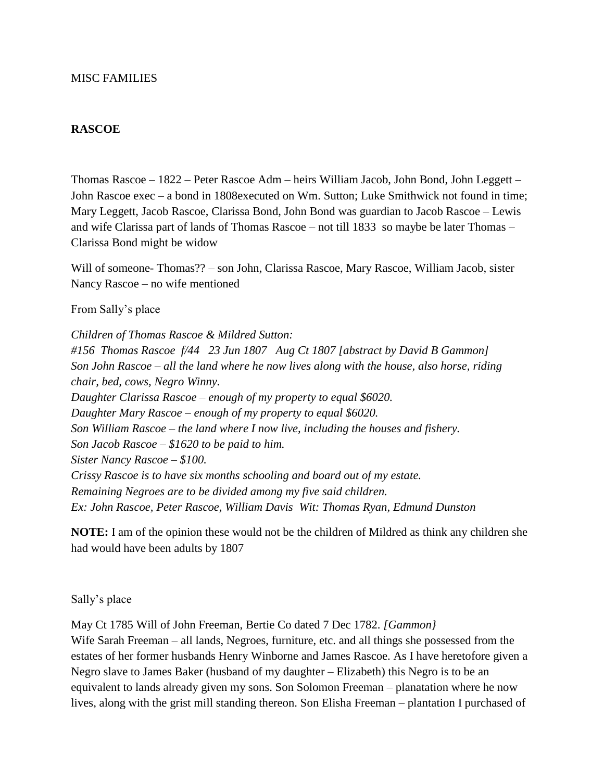#### **RASCOE**

Thomas Rascoe – 1822 – Peter Rascoe Adm – heirs William Jacob, John Bond, John Leggett – John Rascoe exec – a bond in 1808executed on Wm. Sutton; Luke Smithwick not found in time; Mary Leggett, Jacob Rascoe, Clarissa Bond, John Bond was guardian to Jacob Rascoe – Lewis and wife Clarissa part of lands of Thomas Rascoe – not till 1833 so maybe be later Thomas – Clarissa Bond might be widow

Will of someone- Thomas?? – son John, Clarissa Rascoe, Mary Rascoe, William Jacob, sister Nancy Rascoe – no wife mentioned

From Sally's place

*Children of Thomas Rascoe & Mildred Sutton: #156 Thomas Rascoe f/44 23 Jun 1807 Aug Ct 1807 [abstract by David B Gammon] Son John Rascoe – all the land where he now lives along with the house, also horse, riding chair, bed, cows, Negro Winny. Daughter Clarissa Rascoe – enough of my property to equal \$6020. Daughter Mary Rascoe – enough of my property to equal \$6020. Son William Rascoe – the land where I now live, including the houses and fishery. Son Jacob Rascoe – \$1620 to be paid to him. Sister Nancy Rascoe – \$100. Crissy Rascoe is to have six months schooling and board out of my estate. Remaining Negroes are to be divided among my five said children. Ex: John Rascoe, Peter Rascoe, William Davis Wit: Thomas Ryan, Edmund Dunston*

**NOTE:** I am of the opinion these would not be the children of Mildred as think any children she had would have been adults by 1807

Sally's place

May Ct 1785 Will of John Freeman, Bertie Co dated 7 Dec 1782. *[Gammon}* Wife Sarah Freeman – all lands, Negroes, furniture, etc. and all things she possessed from the estates of her former husbands Henry Winborne and James Rascoe. As I have heretofore given a Negro slave to James Baker (husband of my daughter – Elizabeth) this Negro is to be an equivalent to lands already given my sons. Son Solomon Freeman – planatation where he now lives, along with the grist mill standing thereon. Son Elisha Freeman – plantation I purchased of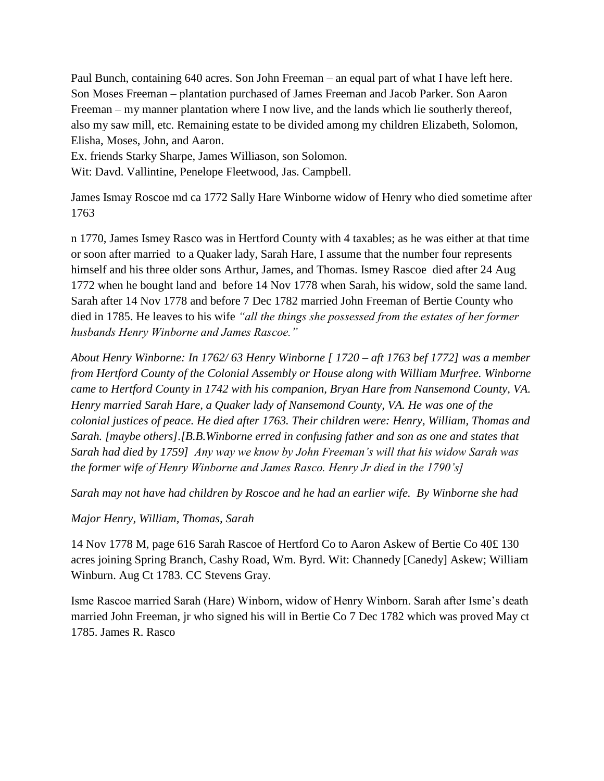Paul Bunch, containing 640 acres. Son John Freeman – an equal part of what I have left here. Son Moses Freeman – plantation purchased of James Freeman and Jacob Parker. Son Aaron Freeman – my manner plantation where I now live, and the lands which lie southerly thereof, also my saw mill, etc. Remaining estate to be divided among my children Elizabeth, Solomon, Elisha, Moses, John, and Aaron.

Ex. friends Starky Sharpe, James Williason, son Solomon.

Wit: Davd. Vallintine, Penelope Fleetwood, Jas. Campbell.

James Ismay Roscoe md ca 1772 Sally Hare Winborne widow of Henry who died sometime after 1763

n 1770, James Ismey Rasco was in Hertford County with 4 taxables; as he was either at that time or soon after married to a Quaker lady, Sarah Hare, I assume that the number four represents himself and his three older sons Arthur, James, and Thomas. Ismey Rascoe died after 24 Aug 1772 when he bought land and before 14 Nov 1778 when Sarah, his widow, sold the same land. Sarah after 14 Nov 1778 and before 7 Dec 1782 married John Freeman of Bertie County who died in 1785. He leaves to his wife *"all the things she possessed from the estates of her former husbands Henry Winborne and James Rascoe."*

*About Henry Winborne: In 1762/ 63 Henry Winborne [ 1720 – aft 1763 bef 1772] was a member from Hertford County of the Colonial Assembly or House along with William Murfree. Winborne came to Hertford County in 1742 with his companion, Bryan Hare from Nansemond County, VA. Henry married Sarah Hare, a Quaker lady of Nansemond County, VA. He was one of the colonial justices of peace. He died after 1763. Their children were: Henry, William, Thomas and Sarah. [maybe others].[B.B.Winborne erred in confusing father and son as one and states that Sarah had died by 1759] Any way we know by John Freeman's will that his widow Sarah was the former wife of Henry Winborne and James Rasco. Henry Jr died in the 1790's]*

*Sarah may not have had children by Roscoe and he had an earlier wife. By Winborne she had*

## *Major Henry, William, Thomas, Sarah*

14 Nov 1778 M, page 616 Sarah Rascoe of Hertford Co to Aaron Askew of Bertie Co 40£ 130 acres joining Spring Branch, Cashy Road, Wm. Byrd. Wit: Channedy [Canedy] Askew; William Winburn. Aug Ct 1783. CC Stevens Gray.

Isme Rascoe married Sarah (Hare) Winborn, widow of Henry Winborn. Sarah after Isme's death married John Freeman, jr who signed his will in Bertie Co 7 Dec 1782 which was proved May ct 1785. James R. Rasco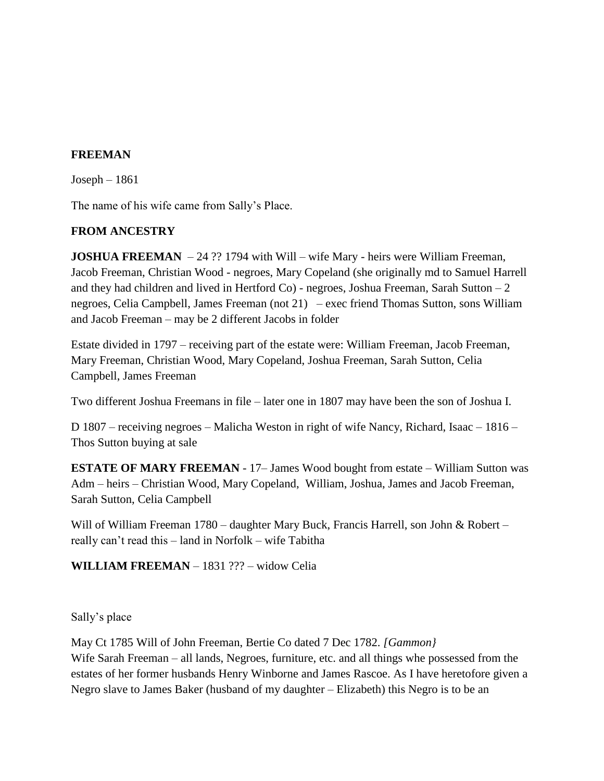# **FREEMAN**

Joseph – 1861

The name of his wife came from Sally's Place.

## **FROM ANCESTRY**

**JOSHUA FREEMAN** – 24 ?? 1794 with Will – wife Mary - heirs were William Freeman, Jacob Freeman, Christian Wood - negroes, Mary Copeland (she originally md to Samuel Harrell and they had children and lived in Hertford Co $)$  - negroes, Joshua Freeman, Sarah Sutton  $-2$ negroes, Celia Campbell, James Freeman (not 21) – exec friend Thomas Sutton, sons William and Jacob Freeman – may be 2 different Jacobs in folder

Estate divided in 1797 – receiving part of the estate were: William Freeman, Jacob Freeman, Mary Freeman, Christian Wood, Mary Copeland, Joshua Freeman, Sarah Sutton, Celia Campbell, James Freeman

Two different Joshua Freemans in file – later one in 1807 may have been the son of Joshua I.

D 1807 – receiving negroes – Malicha Weston in right of wife Nancy, Richard, Isaac – 1816 – Thos Sutton buying at sale

**ESTATE OF MARY FREEMAN** - 17– James Wood bought from estate – William Sutton was Adm – heirs – Christian Wood, Mary Copeland, William, Joshua, James and Jacob Freeman, Sarah Sutton, Celia Campbell

Will of William Freeman 1780 – daughter Mary Buck, Francis Harrell, son John & Robert – really can't read this – land in Norfolk – wife Tabitha

**WILLIAM FREEMAN** – 1831 ??? – widow Celia

Sally's place

May Ct 1785 Will of John Freeman, Bertie Co dated 7 Dec 1782. *[Gammon}* Wife Sarah Freeman – all lands, Negroes, furniture, etc. and all things whe possessed from the estates of her former husbands Henry Winborne and James Rascoe. As I have heretofore given a Negro slave to James Baker (husband of my daughter – Elizabeth) this Negro is to be an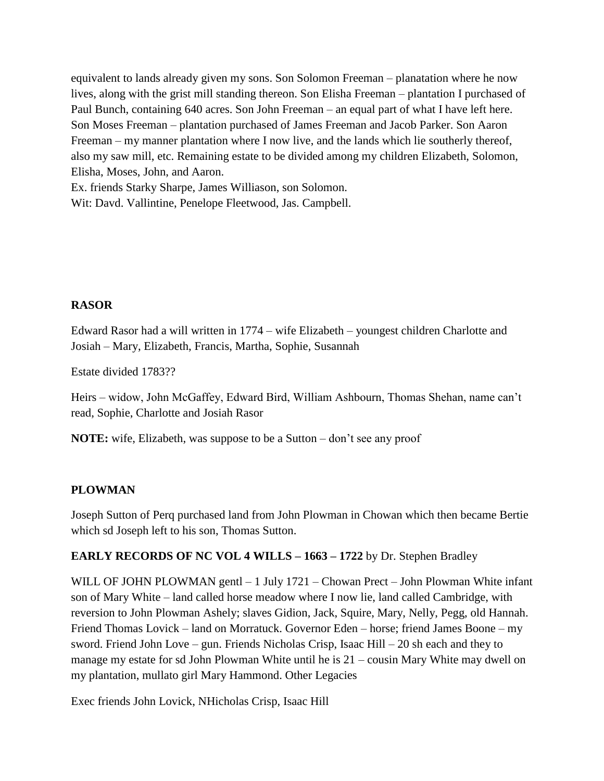equivalent to lands already given my sons. Son Solomon Freeman – planatation where he now lives, along with the grist mill standing thereon. Son Elisha Freeman – plantation I purchased of Paul Bunch, containing 640 acres. Son John Freeman – an equal part of what I have left here. Son Moses Freeman – plantation purchased of James Freeman and Jacob Parker. Son Aaron Freeman – my manner plantation where I now live, and the lands which lie southerly thereof, also my saw mill, etc. Remaining estate to be divided among my children Elizabeth, Solomon, Elisha, Moses, John, and Aaron.

Ex. friends Starky Sharpe, James Williason, son Solomon. Wit: Davd. Vallintine, Penelope Fleetwood, Jas. Campbell.

#### **RASOR**

Edward Rasor had a will written in 1774 – wife Elizabeth – youngest children Charlotte and Josiah – Mary, Elizabeth, Francis, Martha, Sophie, Susannah

Estate divided 1783??

Heirs – widow, John McGaffey, Edward Bird, William Ashbourn, Thomas Shehan, name can't read, Sophie, Charlotte and Josiah Rasor

**NOTE:** wife, Elizabeth, was suppose to be a Sutton – don't see any proof

## **PLOWMAN**

Joseph Sutton of Perq purchased land from John Plowman in Chowan which then became Bertie which sd Joseph left to his son, Thomas Sutton.

## **EARLY RECORDS OF NC VOL 4 WILLS – 1663 – 1722** by Dr. Stephen Bradley

WILL OF JOHN PLOWMAN gentl – 1 July 1721 – Chowan Prect – John Plowman White infant son of Mary White – land called horse meadow where I now lie, land called Cambridge, with reversion to John Plowman Ashely; slaves Gidion, Jack, Squire, Mary, Nelly, Pegg, old Hannah. Friend Thomas Lovick – land on Morratuck. Governor Eden – horse; friend James Boone – my sword. Friend John Love – gun. Friends Nicholas Crisp, Isaac Hill – 20 sh each and they to manage my estate for sd John Plowman White until he is 21 – cousin Mary White may dwell on my plantation, mullato girl Mary Hammond. Other Legacies

Exec friends John Lovick, NHicholas Crisp, Isaac Hill